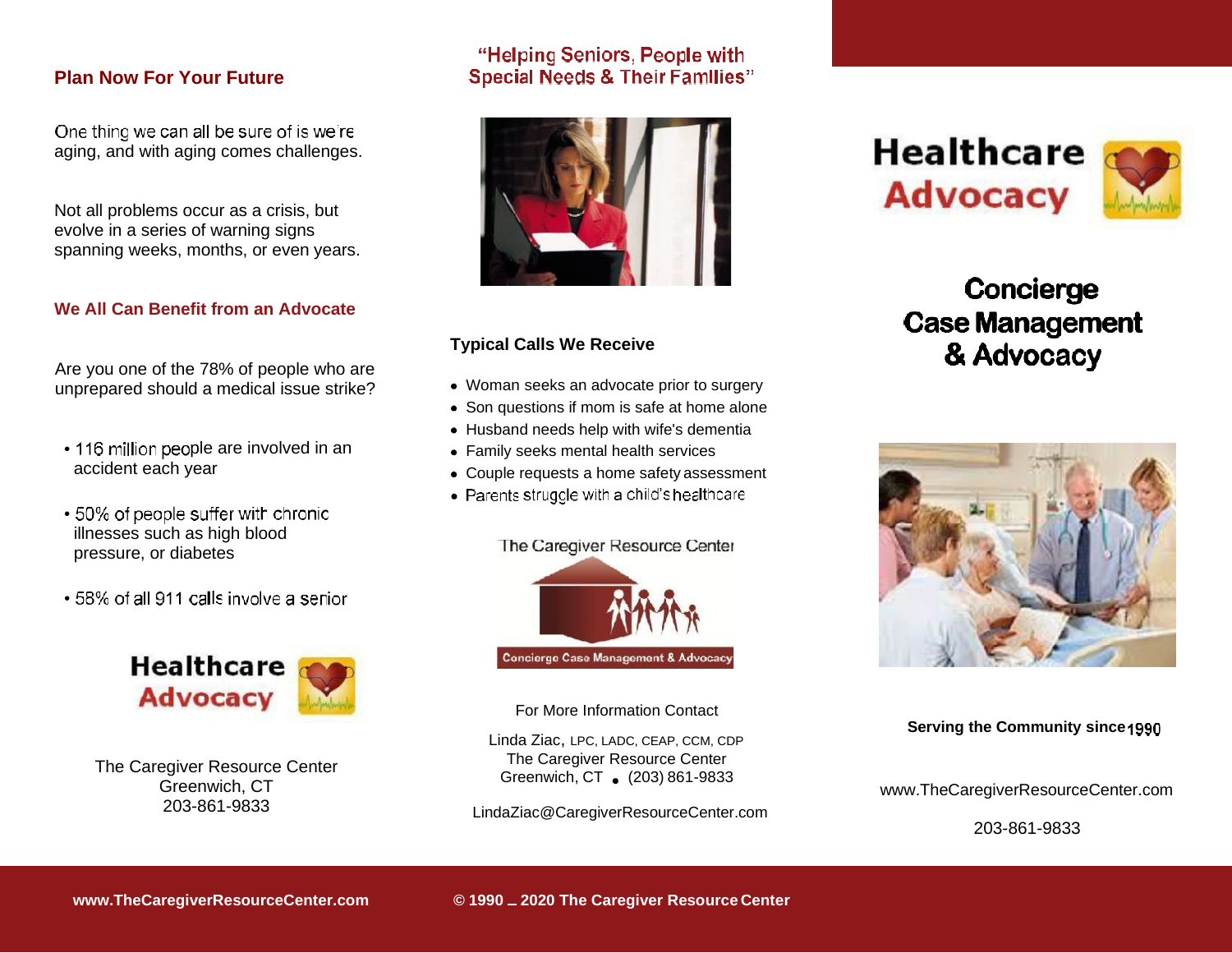# **Plan Now For Your Future**<br>One thing we can all be sure of is we're

aging, and with aging comes challenges.

Not all problems occur as a crisis, but evolve in a series of warning signs spanning weeks, months, or even years.

#### **We All Can Benefit from an Advocate**

Are you one of the 78% of people who are unprepared should a medical issue strike?

- 116 million people are involved in an accident each year
- 50% of people suffer with chronic illnesses such as high blood pressure, or diabetes
- 58% of all 911 calls involve a senior



The Caregiver Resource Center Greenwich, CT 203-861-9833

#### "Helping Seniors, People with **Special Needs & Their Families"**



#### **Typical Calls We Receive**

- Woman seeks an advocate prior to surgery
- [Son questions if mom is safe at home alo](mailto:LindaZiac@CaregiverResourceCenter.com)ne
- Husband needs help with wife's dementia
- Family seeks mental health services
- Couple requests a home safety assessment
- Parents struggle with a child's healthcare

The Caregiver Resource Center



For More Information Contact

Linda Ziac, LPC, LADC, CEAP, CCM, CDP The Caregiver Resource Center Greenwich, CT . (203) 861-9833

LindaZiac@CaregiverResourceCenter.com

**Healthcare Advocacy** 



## Concierge **Case Management** & Advocacy



**Serving the Community since**

<www.TheCaregiverResourceCenter.com>

203-861-9833